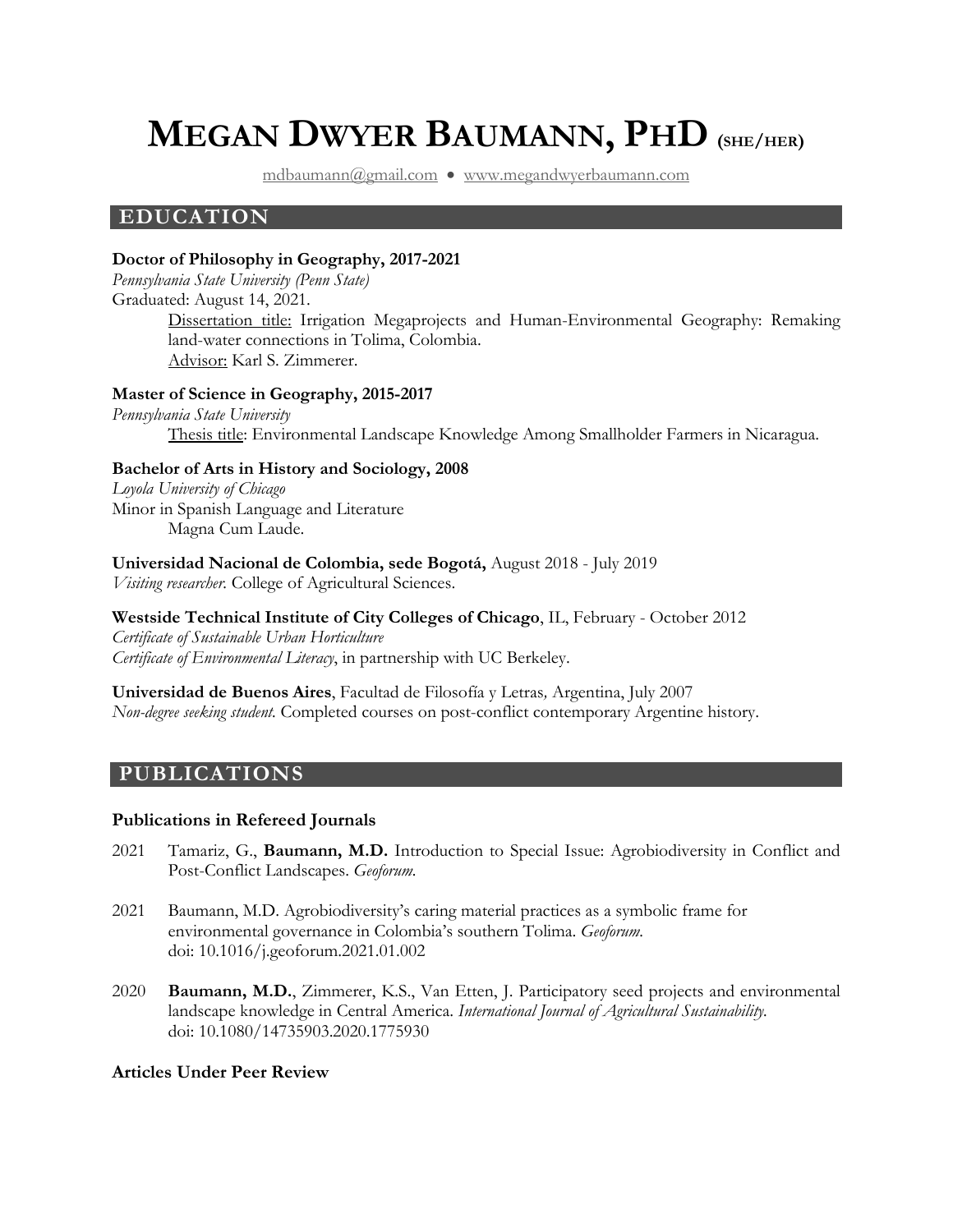# **MEGAN DWYER BAUMANN, PHD (SHE/HER)**

[mdbaumann@gmail.com](mailto:mdbaumann@gmail.com) • [www.megandwyerbaumann.com](http://www.megandwyerbaumann.com/)

## **EDUCATION**

#### **Doctor of Philosophy in Geography, 2017-2021**

*Pennsylvania State University (Penn State)* Graduated: August 14, 2021. Dissertation title: Irrigation Megaprojects and Human-Environmental Geography: Remaking land-water connections in Tolima, Colombia. Advisor: Karl S. Zimmerer.

#### **Master of Science in Geography, 2015-2017**

*Pennsylvania State University* Thesis title: Environmental Landscape Knowledge Among Smallholder Farmers in Nicaragua.

#### **Bachelor of Arts in History and Sociology, 2008**

*Loyola University of Chicago* Minor in Spanish Language and Literature Magna Cum Laude.

**Universidad Nacional de Colombia, sede Bogotá,** August 2018 - July 2019 *Visiting researcher.* College of Agricultural Sciences.

**Westside Technical Institute of City Colleges of Chicago**, IL, February - October 2012 *Certificate of Sustainable Urban Horticulture Certificate of Environmental Literacy*, in partnership with UC Berkeley.

**Universidad de Buenos Aires**, Facultad de Filosofía y Letras*,* Argentina, July 2007 *Non-degree seeking student.* Completed courses on post-conflict contemporary Argentine history.

# **PUBLICATIONS**

#### **Publications in Refereed Journals**

- 2021 Tamariz, G., **Baumann, M.D.** Introduction to Special Issue: Agrobiodiversity in Conflict and Post-Conflict Landscapes. *Geoforum.*
- 2021 Baumann, M.D. Agrobiodiversity's caring material practices as a symbolic frame for environmental governance in Colombia's southern Tolima. *Geoforum.*  doi: 10.1016/j.geoforum.2021.01.002
- 2020 **Baumann, M.D.**, Zimmerer, K.S., Van Etten, J. Participatory seed projects and environmental landscape knowledge in Central America. *International Journal of Agricultural Sustainability.* doi: 10.1080/14735903.2020.1775930

## **Articles Under Peer Review**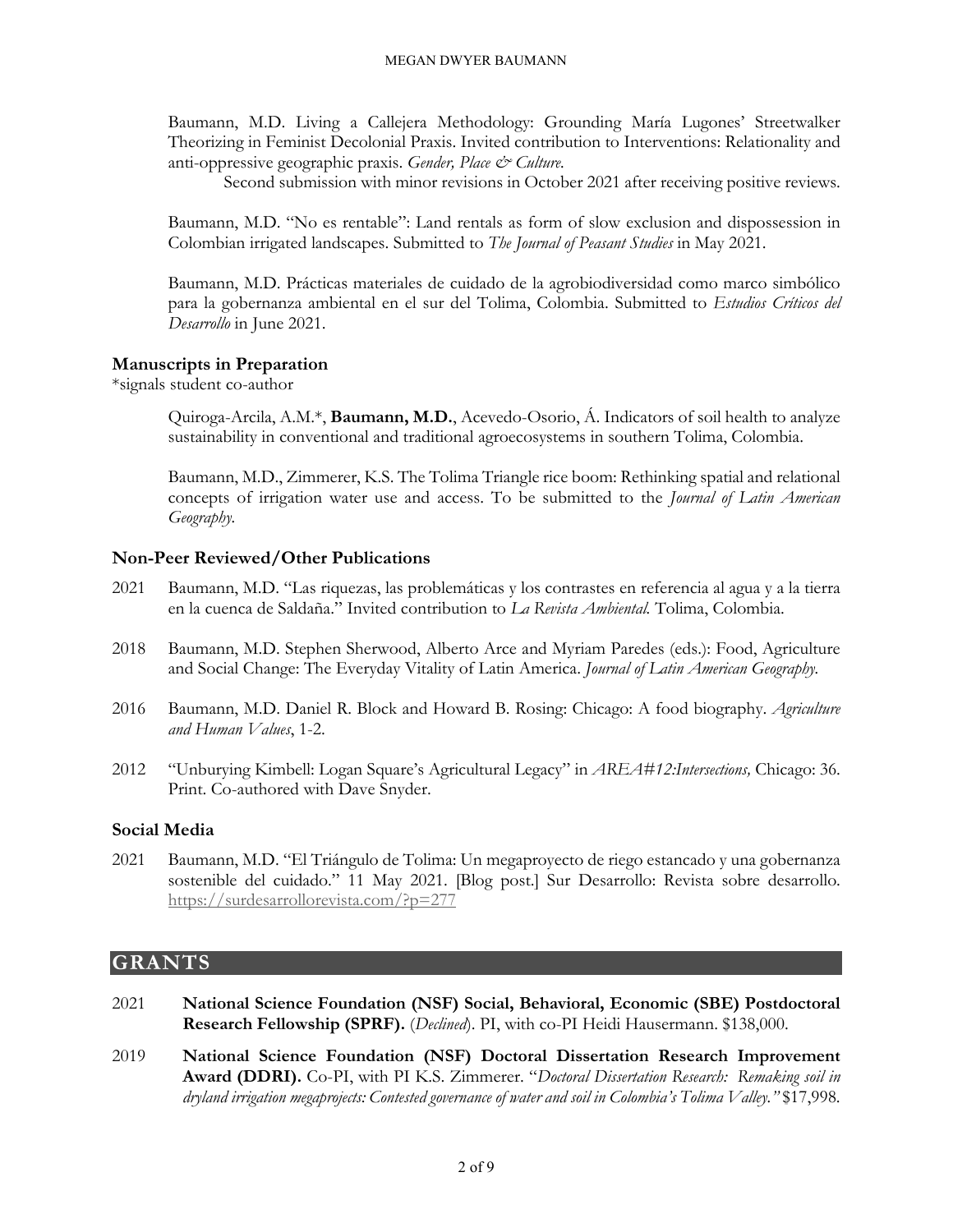Baumann, M.D. Living a Callejera Methodology: Grounding María Lugones' Streetwalker Theorizing in Feminist Decolonial Praxis. Invited contribution to Interventions: Relationality and anti-oppressive geographic praxis. *Gender, Place & Culture*.

Second submission with minor revisions in October 2021 after receiving positive reviews.

Baumann, M.D. "No es rentable": Land rentals as form of slow exclusion and dispossession in Colombian irrigated landscapes. Submitted to *The Journal of Peasant Studies* in May 2021.

Baumann, M.D. Prácticas materiales de cuidado de la agrobiodiversidad como marco simbólico para la gobernanza ambiental en el sur del Tolima, Colombia. Submitted to *Estudios Críticos del Desarrollo* in June 2021.

#### **Manuscripts in Preparation**

\*signals student co-author

Quiroga-Arcila, A.M.\*, **Baumann, M.D.**, Acevedo-Osorio, Á. Indicators of soil health to analyze sustainability in conventional and traditional agroecosystems in southern Tolima, Colombia.

Baumann, M.D., Zimmerer, K.S. The Tolima Triangle rice boom: Rethinking spatial and relational concepts of irrigation water use and access. To be submitted to the *Journal of Latin American Geography.*

#### **Non-Peer Reviewed/Other Publications**

- 2021 Baumann, M.D. "Las riquezas, las problemáticas y los contrastes en referencia al agua y a la tierra en la cuenca de Saldaña." Invited contribution to *La Revista Ambiental.* Tolima, Colombia.
- 2018 Baumann, M.D. Stephen Sherwood, Alberto Arce and Myriam Paredes (eds.): Food, Agriculture and Social Change: The Everyday Vitality of Latin America. *Journal of Latin American Geography.*
- 2016 Baumann, M.D. Daniel R. Block and Howard B. Rosing: Chicago: A food biography. *Agriculture and Human Values*, 1-2.
- 2012 "Unburying Kimbell: Logan Square's Agricultural Legacy" in *AREA#12:Intersections,* Chicago: 36. Print. Co-authored with Dave Snyder.

#### **Social Media**

2021 Baumann, M.D. "El Triángulo de Tolima: Un megaproyecto de riego estancado y una gobernanza sostenible del cuidado." 11 May 2021. [Blog post.] Sur Desarrollo: Revista sobre desarrollo. <https://surdesarrollorevista.com/?p=277>

#### **GRANTS**

- 2021 **National Science Foundation (NSF) Social, Behavioral, Economic (SBE) Postdoctoral Research Fellowship (SPRF).** (*Declined*). PI, with co-PI Heidi Hausermann. \$138,000.
- 2019 **National Science Foundation (NSF) Doctoral Dissertation Research Improvement Award (DDRI).** Co-PI, with PI K.S. Zimmerer. "*Doctoral Dissertation Research: Remaking soil in dryland irrigation megaprojects: Contested governance of water and soil in Colombia's Tolima Valley."* \$17,998.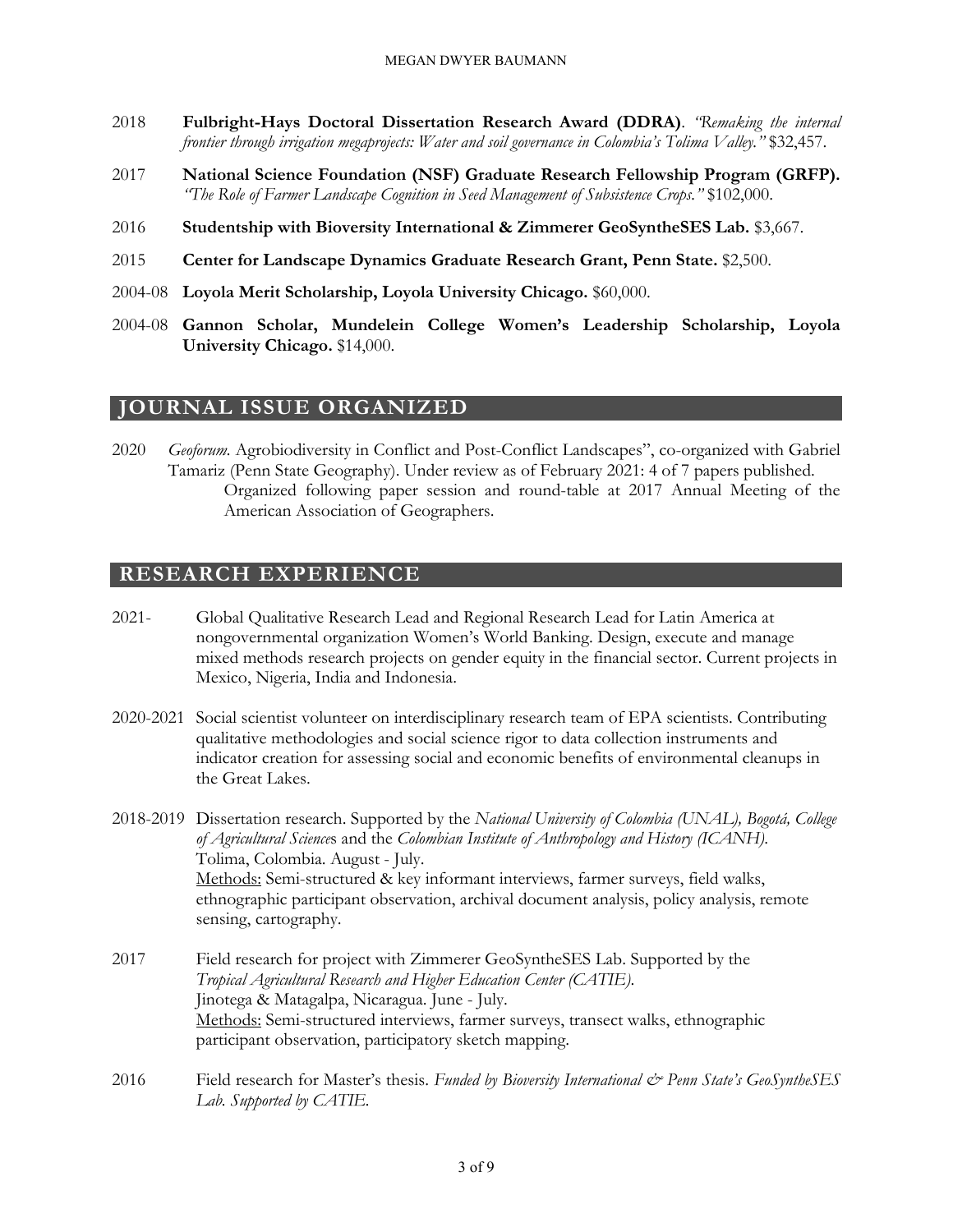- 2018 **Fulbright-Hays Doctoral Dissertation Research Award (DDRA)**. *"Remaking the internal frontier through irrigation megaprojects: Water and soil governance in Colombia's Tolima Valley."* \$32,457.
- 2017 **National Science Foundation (NSF) Graduate Research Fellowship Program (GRFP).** *"The Role of Farmer Landscape Cognition in Seed Management of Subsistence Crops."* \$102,000.
- 2016 **Studentship with Bioversity International & Zimmerer GeoSyntheSES Lab.** \$3,667.
- 2015 **Center for Landscape Dynamics Graduate Research Grant, Penn State.** \$2,500.
- 2004-08 **Loyola Merit Scholarship, Loyola University Chicago.** \$60,000.
- 2004-08 **Gannon Scholar, Mundelein College Women's Leadership Scholarship, Loyola University Chicago.** \$14,000.

## **JOURNAL ISSUE ORGANIZED**

2020 *Geoforum.* Agrobiodiversity in Conflict and Post-Conflict Landscapes", co-organized with Gabriel Tamariz (Penn State Geography). Under review as of February 2021: 4 of 7 papers published. Organized following paper session and round-table at 2017 Annual Meeting of the American Association of Geographers.

#### **RESEARCH EXPERIENCE**

- 2021- Global Qualitative Research Lead and Regional Research Lead for Latin America at nongovernmental organization Women's World Banking. Design, execute and manage mixed methods research projects on gender equity in the financial sector. Current projects in Mexico, Nigeria, India and Indonesia.
- 2020-2021 Social scientist volunteer on interdisciplinary research team of EPA scientists. Contributing qualitative methodologies and social science rigor to data collection instruments and indicator creation for assessing social and economic benefits of environmental cleanups in the Great Lakes.
- 2018-2019 Dissertation research. Supported by the *National University of Colombia (UNAL), Bogotá, College of Agricultural Science*s and the *Colombian Institute of Anthropology and History (ICANH)*. Tolima, Colombia. August - July. Methods: Semi-structured & key informant interviews, farmer surveys, field walks, ethnographic participant observation, archival document analysis, policy analysis, remote sensing, cartography.
- 2017 Field research for project with Zimmerer GeoSyntheSES Lab. Supported by the *Tropical Agricultural Research and Higher Education Center (CATIE)*. Jinotega & Matagalpa, Nicaragua. June - July. Methods: Semi-structured interviews, farmer surveys, transect walks, ethnographic participant observation, participatory sketch mapping.
- 2016 Field research for Master's thesis. *Funded by Bioversity International & Penn State's GeoSyntheSES Lab. Supported by CATIE.*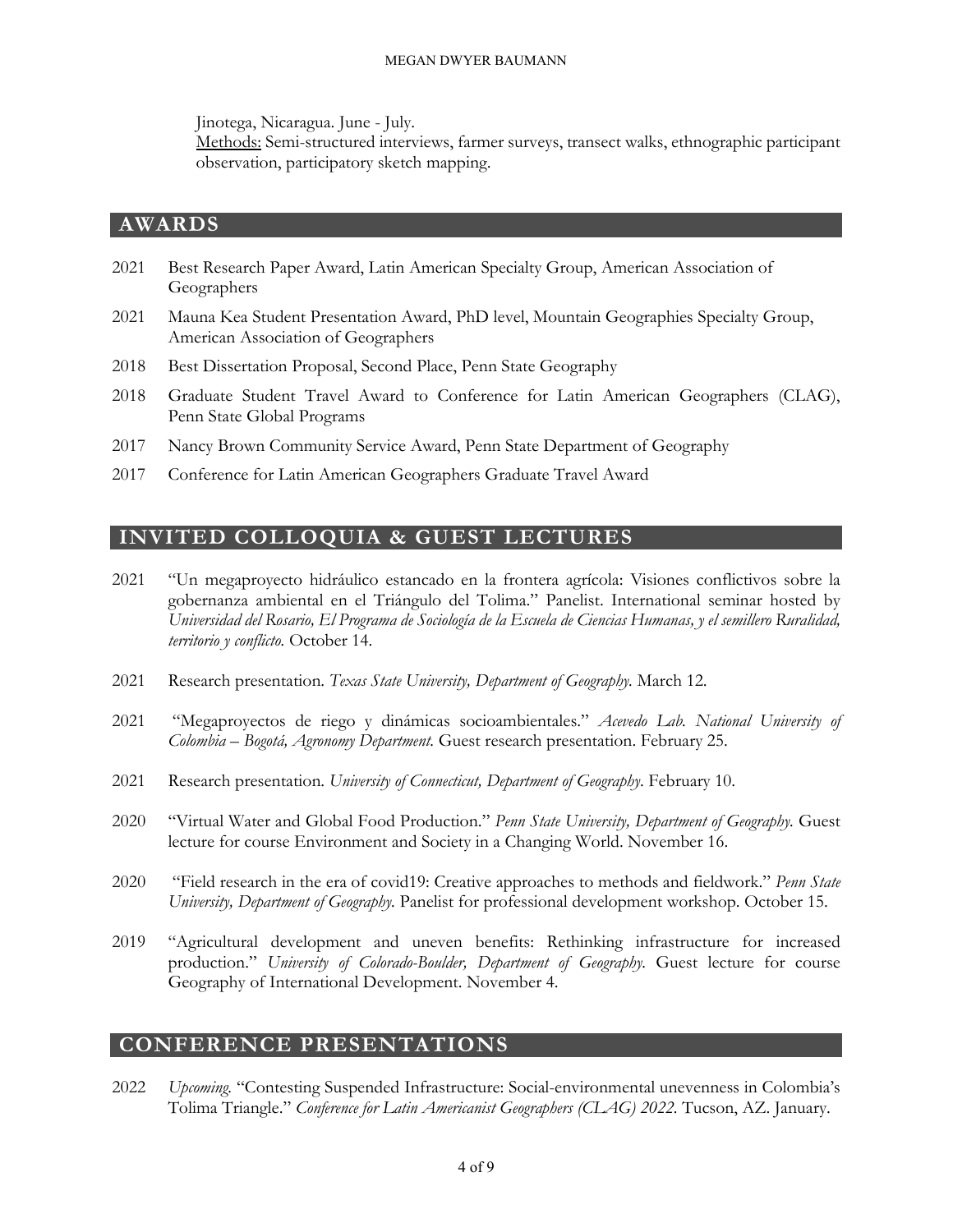Jinotega, Nicaragua. June - July.

Methods: Semi-structured interviews, farmer surveys, transect walks, ethnographic participant observation, participatory sketch mapping.

## **AWARDS**

- 2021 Best Research Paper Award, Latin American Specialty Group, American Association of Geographers
- 2021 Mauna Kea Student Presentation Award, PhD level, Mountain Geographies Specialty Group, American Association of Geographers
- 2018 Best Dissertation Proposal, Second Place, Penn State Geography
- 2018 Graduate Student Travel Award to Conference for Latin American Geographers (CLAG), Penn State Global Programs
- 2017 Nancy Brown Community Service Award, Penn State Department of Geography
- 2017 Conference for Latin American Geographers Graduate Travel Award

# **INVITED COLLOQUIA & GUEST LECTURES**

- 2021 "Un megaproyecto hidráulico estancado en la frontera agrícola: Visiones conflictivos sobre la gobernanza ambiental en el Triángulo del Tolima." Panelist. International seminar hosted by *Universidad del Rosario, El Programa de Sociología de la Escuela de Ciencias Humanas, y el semillero Ruralidad, territorio y conflicto.* October 14.
- 2021 Research presentation. *Texas State University, Department of Geography.* March 12.
- 2021 "Megaproyectos de riego y dinámicas socioambientales." *Acevedo Lab. National University of Colombia – Bogotá, Agronomy Department.* Guest research presentation. February 25.
- 2021 Research presentation. *University of Connecticut, Department of Geography*. February 10.
- 2020 "Virtual Water and Global Food Production." *Penn State University, Department of Geography.* Guest lecture for course Environment and Society in a Changing World. November 16.
- 2020 "Field research in the era of covid19: Creative approaches to methods and fieldwork." *Penn State University, Department of Geography.* Panelist for professional development workshop. October 15.
- 2019 "Agricultural development and uneven benefits: Rethinking infrastructure for increased production." *University of Colorado-Boulder, Department of Geography*. Guest lecture for course Geography of International Development. November 4.

## **CONFERENCE PRESENTATIONS**

2022 *Upcoming.* "Contesting Suspended Infrastructure: Social-environmental unevenness in Colombia's Tolima Triangle." *Conference for Latin Americanist Geographers (CLAG) 2022.* Tucson, AZ. January.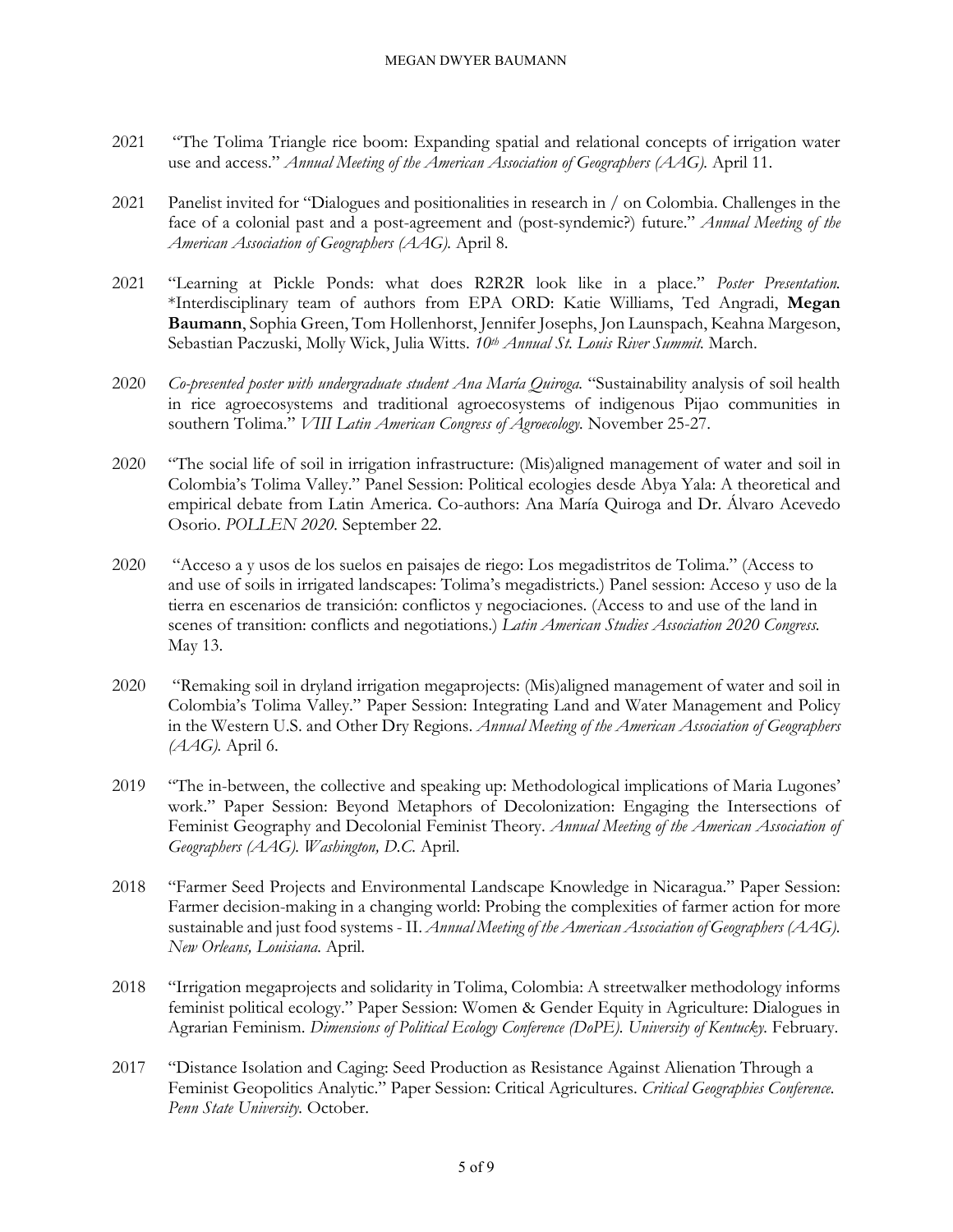#### MEGAN DWYER BAUMANN

- 2021 "The Tolima Triangle rice boom: Expanding spatial and relational concepts of irrigation water use and access." *Annual Meeting of the American Association of Geographers (AAG).* April 11.
- 2021 Panelist invited for "Dialogues and positionalities in research in / on Colombia. Challenges in the face of a colonial past and a post-agreement and (post-syndemic?) future." *Annual Meeting of the American Association of Geographers (AAG).* April 8.
- 2021 "Learning at Pickle Ponds: what does R2R2R look like in a place." *Poster Presentation.*  \*Interdisciplinary team of authors from EPA ORD: Katie Williams, Ted Angradi, **Megan Baumann**, Sophia Green, Tom Hollenhorst, Jennifer Josephs, Jon Launspach, Keahna Margeson, Sebastian Paczuski, Molly Wick, Julia Witts. *10th Annual St. Louis River Summit.* March.
- 2020 *Co-presented poster with undergraduate student Ana María Quiroga.* "Sustainability analysis of soil health in rice agroecosystems and traditional agroecosystems of indigenous Pijao communities in southern Tolima." *VIII Latin American Congress of Agroecology.* November 25-27.
- 2020 "The social life of soil in irrigation infrastructure: (Mis)aligned management of water and soil in Colombia's Tolima Valley." Panel Session: Political ecologies desde Abya Yala: A theoretical and empirical debate from Latin America. Co-authors: Ana María Quiroga and Dr. Álvaro Acevedo Osorio. *POLLEN 2020.* September 22.
- 2020 "Acceso a y usos de los suelos en paisajes de riego: Los megadistritos de Tolima." (Access to and use of soils in irrigated landscapes: Tolima's megadistricts.) Panel session: Acceso y uso de la tierra en escenarios de transición: conflictos y negociaciones. (Access to and use of the land in scenes of transition: conflicts and negotiations.) *Latin American Studies Association 2020 Congress.*  May 13.
- 2020 "Remaking soil in dryland irrigation megaprojects: (Mis)aligned management of water and soil in Colombia's Tolima Valley." Paper Session: Integrating Land and Water Management and Policy in the Western U.S. and Other Dry Regions. *Annual Meeting of the American Association of Geographers (AAG).* April 6.
- 2019 "The in-between, the collective and speaking up: Methodological implications of Maria Lugones' work." Paper Session: Beyond Metaphors of Decolonization: Engaging the Intersections of Feminist Geography and Decolonial Feminist Theory. *Annual Meeting of the American Association of Geographers (AAG). Washington, D.C.* April.
- 2018 "Farmer Seed Projects and Environmental Landscape Knowledge in Nicaragua." Paper Session: Farmer decision-making in a changing world: Probing the complexities of farmer action for more sustainable and just food systems - II. *Annual Meeting of the American Association of Geographers (AAG). New Orleans, Louisiana.* April.
- 2018 "Irrigation megaprojects and solidarity in Tolima, Colombia: A streetwalker methodology informs feminist political ecology." Paper Session: Women & Gender Equity in Agriculture: Dialogues in Agrarian Feminism. *Dimensions of Political Ecology Conference (DoPE). University of Kentucky.* February.
- 2017 "Distance Isolation and Caging: Seed Production as Resistance Against Alienation Through a Feminist Geopolitics Analytic." Paper Session: Critical Agricultures. *Critical Geographies Conference. Penn State University.* October.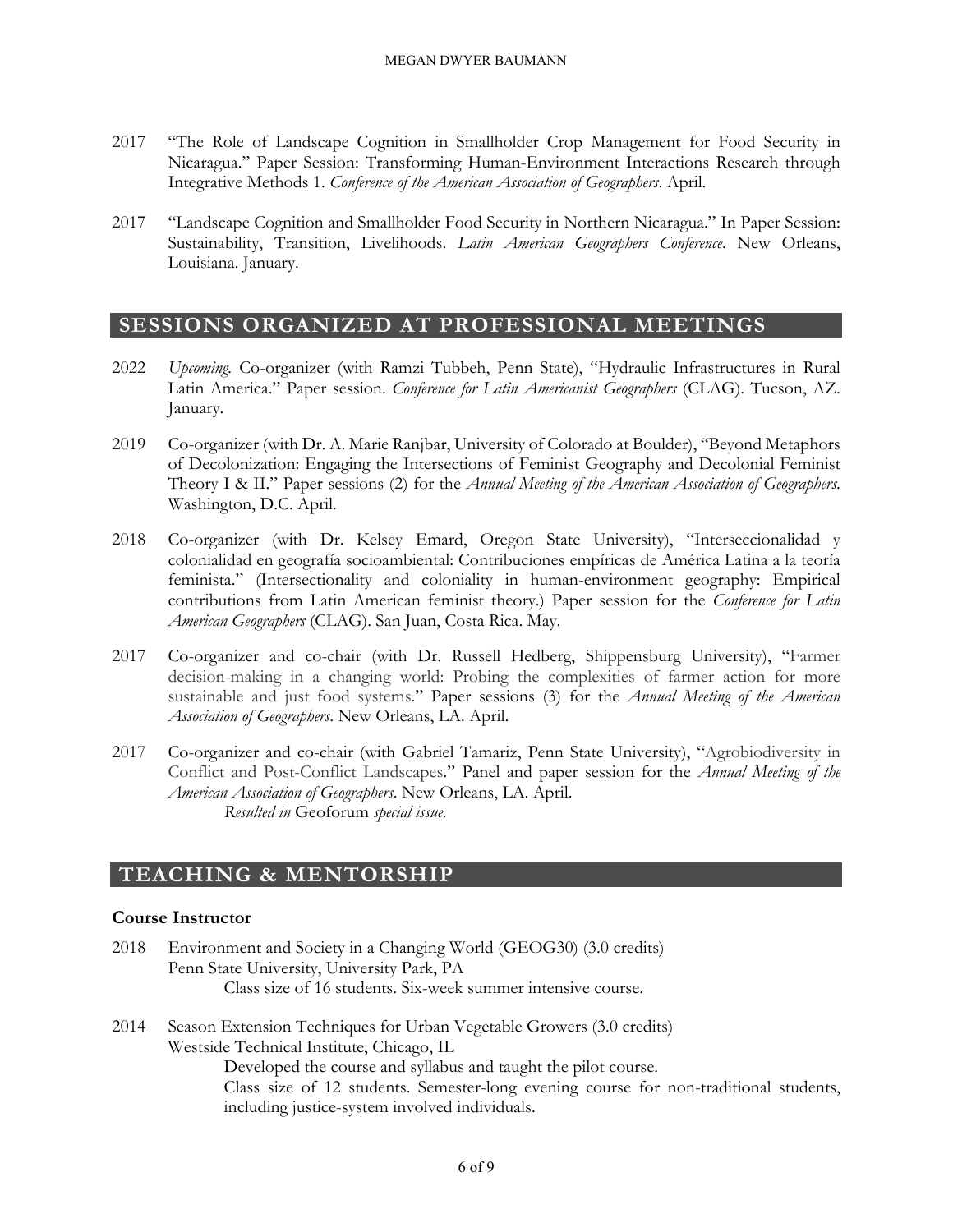#### MEGAN DWYER BAUMANN

- 2017 "The Role of Landscape Cognition in Smallholder Crop Management for Food Security in Nicaragua." Paper Session: Transforming Human-Environment Interactions Research through Integrative Methods 1. *Conference of the American Association of Geographers*. April.
- 2017 "Landscape Cognition and Smallholder Food Security in Northern Nicaragua." In Paper Session: Sustainability, Transition, Livelihoods. *Latin American Geographers Conference*. New Orleans, Louisiana. January.

## **SESSIONS ORGANIZED AT PROFESSIONAL MEETINGS**

- 2022 *Upcoming.* Co-organizer (with Ramzi Tubbeh, Penn State), "Hydraulic Infrastructures in Rural Latin America." Paper session. *Conference for Latin Americanist Geographers* (CLAG). Tucson, AZ. January.
- 2019 Co-organizer (with Dr. A. Marie Ranjbar, University of Colorado at Boulder), "Beyond Metaphors of Decolonization: Engaging the Intersections of Feminist Geography and Decolonial Feminist Theory I & II." Paper sessions (2) for the *Annual Meeting of the American Association of Geographers*. Washington, D.C. April.
- 2018 Co-organizer (with Dr. Kelsey Emard, Oregon State University), "Interseccionalidad y colonialidad en geografía socioambiental: Contribuciones empíricas de América Latina a la teoría feminista." (Intersectionality and coloniality in human-environment geography: Empirical contributions from Latin American feminist theory.) Paper session for the *Conference for Latin American Geographers* (CLAG). San Juan, Costa Rica. May.
- 2017 Co-organizer and co-chair (with Dr. Russell Hedberg, Shippensburg University), "Farmer decision-making in a changing world: Probing the complexities of farmer action for more sustainable and just food systems." Paper sessions (3) for the *Annual Meeting of the American Association of Geographers*. New Orleans, LA. April.
- 2017 Co-organizer and co-chair (with Gabriel Tamariz, Penn State University), "Agrobiodiversity in Conflict and Post-Conflict Landscapes." Panel and paper session for the *Annual Meeting of the American Association of Geographers*. New Orleans, LA. April. *Resulted in* Geoforum *special issue.*

# **TEACHING & MENTORSHIP**

## **Course Instructor**

- 2018 Environment and Society in a Changing World (GEOG30) (3.0 credits) Penn State University, University Park, PA Class size of 16 students. Six-week summer intensive course.
- 2014 Season Extension Techniques for Urban Vegetable Growers (3.0 credits) Westside Technical Institute, Chicago, IL Developed the course and syllabus and taught the pilot course. Class size of 12 students. Semester-long evening course for non-traditional students,

including justice-system involved individuals.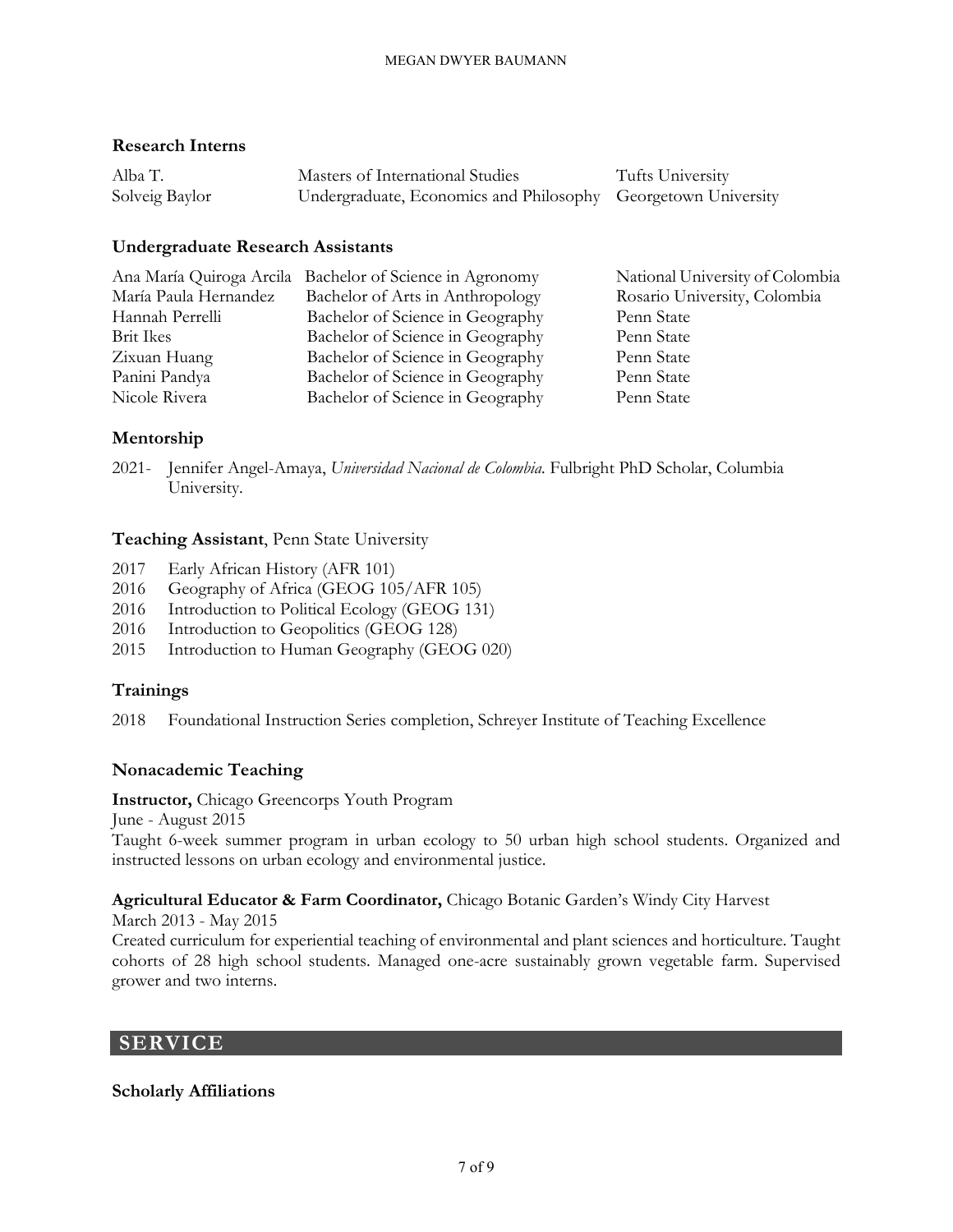## **Research Interns**

| Alba T.        | Masters of International Studies                              | Tufts University |
|----------------|---------------------------------------------------------------|------------------|
| Solveig Baylor | Undergraduate, Economics and Philosophy Georgetown University |                  |

## **Undergraduate Research Assistants**

|                       | Ana María Quiroga Arcila Bachelor of Science in Agronomy | National University of Colombia |
|-----------------------|----------------------------------------------------------|---------------------------------|
| María Paula Hernandez | Bachelor of Arts in Anthropology                         | Rosario University, Colombia    |
| Hannah Perrelli       | Bachelor of Science in Geography                         | Penn State                      |
| <b>Brit Ikes</b>      | Bachelor of Science in Geography                         | Penn State                      |
| Zixuan Huang          | Bachelor of Science in Geography                         | Penn State                      |
| Panini Pandya         | Bachelor of Science in Geography                         | Penn State                      |
| Nicole Rivera         | Bachelor of Science in Geography                         | Penn State                      |

## **Mentorship**

2021- Jennifer Angel-Amaya, *Universidad Nacional de Colombia.* Fulbright PhD Scholar, Columbia University.

## **Teaching Assistant**, Penn State University

- 2017 Early African History (AFR 101)
- 2016 Geography of Africa (GEOG 105/AFR 105)
- 2016 Introduction to Political Ecology (GEOG 131)
- 2016 Introduction to Geopolitics (GEOG 128)
- 2015 Introduction to Human Geography (GEOG 020)

## **Trainings**

2018 Foundational Instruction Series completion, Schreyer Institute of Teaching Excellence

## **Nonacademic Teaching**

**Instructor,** Chicago Greencorps Youth Program

June - August 2015

Taught 6-week summer program in urban ecology to 50 urban high school students. Organized and instructed lessons on urban ecology and environmental justice.

## **Agricultural Educator & Farm Coordinator,** Chicago Botanic Garden's Windy City Harvest

March 2013 - May 2015

Created curriculum for experiential teaching of environmental and plant sciences and horticulture. Taught cohorts of 28 high school students. Managed one-acre sustainably grown vegetable farm. Supervised grower and two interns.

# **SERVICE**

## **Scholarly Affiliations**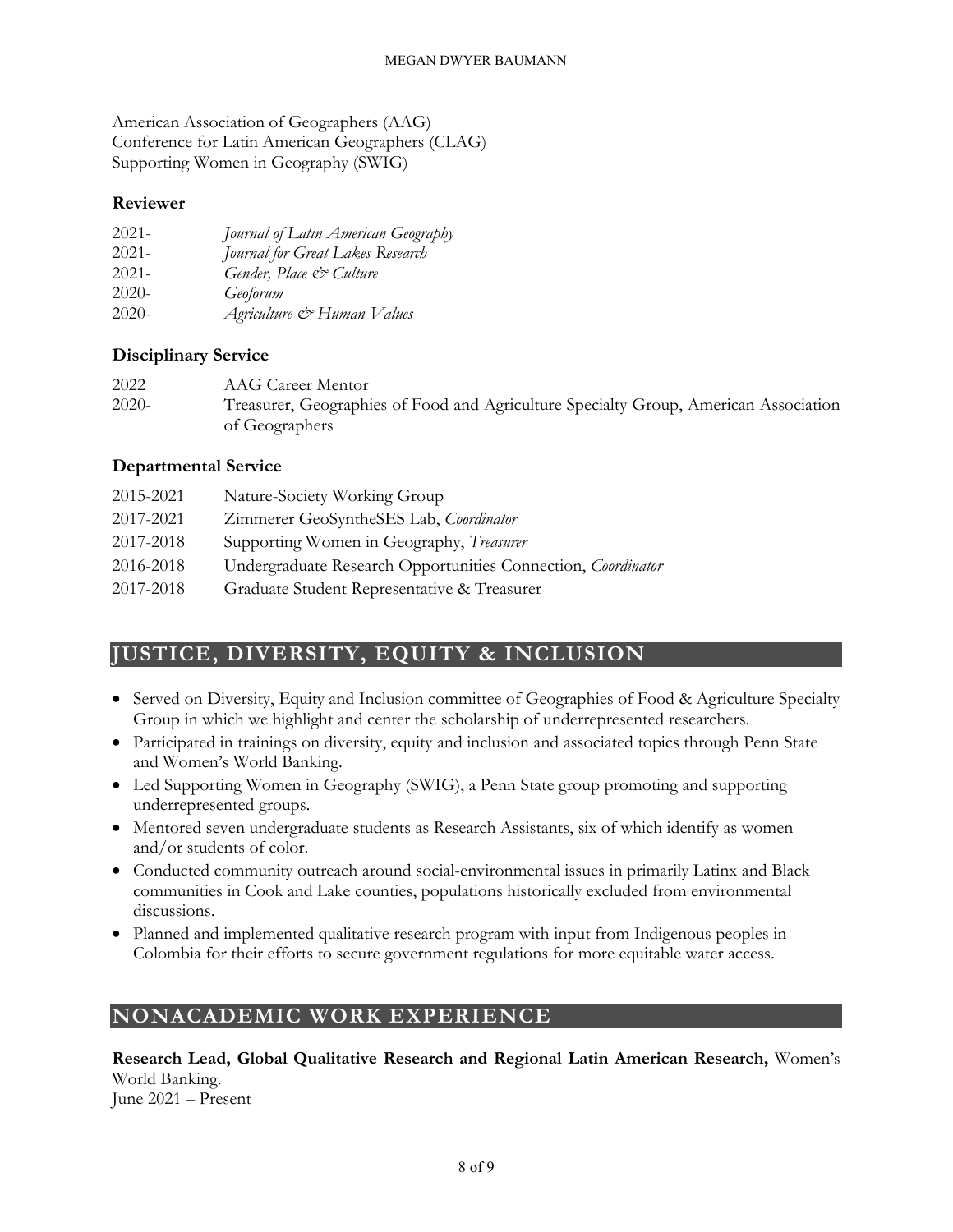American Association of Geographers (AAG) Conference for Latin American Geographers (CLAG) Supporting Women in Geography (SWIG)

## **Reviewer**

| $2021 -$ | Journal of Latin American Geography |
|----------|-------------------------------------|
| $2021 -$ | Journal for Great Lakes Research    |
| $2021 -$ | Gender, Place & Culture             |
| $2020-$  | Geoforum                            |
| $2020-$  | Agriculture & Human Values          |

## **Disciplinary Service**

| 2022    | AAG Career Mentor                                                                    |
|---------|--------------------------------------------------------------------------------------|
| $2020-$ | Treasurer, Geographies of Food and Agriculture Specialty Group, American Association |
|         | of Geographers                                                                       |

## **Departmental Service**

| 2015-2021 | Nature-Society Working Group                                        |
|-----------|---------------------------------------------------------------------|
| 2017-2021 | Zimmerer GeoSyntheSES Lab, Coordinator                              |
| 2017-2018 | Supporting Women in Geography, Treasurer                            |
| 2016-2018 | Undergraduate Research Opportunities Connection, <i>Coordinator</i> |
| 2017-2018 | Graduate Student Representative & Treasurer                         |
|           |                                                                     |

# **JUSTICE, DIVERSITY, EQUITY & INCLUSION**

- Served on Diversity, Equity and Inclusion committee of Geographies of Food & Agriculture Specialty Group in which we highlight and center the scholarship of underrepresented researchers.
- Participated in trainings on diversity, equity and inclusion and associated topics through Penn State and Women's World Banking.
- Led Supporting Women in Geography (SWIG), a Penn State group promoting and supporting underrepresented groups.
- Mentored seven undergraduate students as Research Assistants, six of which identify as women and/or students of color.
- Conducted community outreach around social-environmental issues in primarily Latinx and Black communities in Cook and Lake counties, populations historically excluded from environmental discussions.
- Planned and implemented qualitative research program with input from Indigenous peoples in Colombia for their efforts to secure government regulations for more equitable water access.

# **NONACADEMIC WORK EXPERIENCE**

**Research Lead, Global Qualitative Research and Regional Latin American Research,** Women's World Banking.

June 2021 – Present